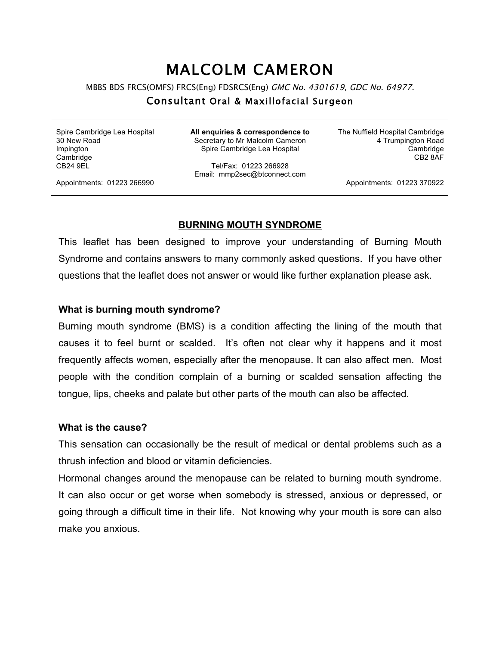# MALCOLM CAMERON

MBBS BDS FRCS(OMFS) FRCS(Eng) FDSRCS(Eng) GMC No. 4301619, GDC No. 64977.

## Consultant Oral & Maxillofacial Surgeon

Spire Cambridge Lea Hospital 30 New Road Impington **Cambridge** CB24 9EL

**All enquiries & correspondence to** Secretary to Mr Malcolm Cameron Spire Cambridge Lea Hospital

Tel/Fax: 01223 266928 Email: mmp2sec@btconnect.com The Nuffield Hospital Cambridge 4 Trumpington Road Cambridge CB2 8AF

Appointments: 01223 266990

Appointments: 01223 370922

#### **BURNING MOUTH SYNDROME**

This leaflet has been designed to improve your understanding of Burning Mouth Syndrome and contains answers to many commonly asked questions. If you have other questions that the leaflet does not answer or would like further explanation please ask.

## **What is burning mouth syndrome?**

Burning mouth syndrome (BMS) is a condition affecting the lining of the mouth that causes it to feel burnt or scalded. It's often not clear why it happens and it most frequently affects women, especially after the menopause. It can also affect men. Most people with the condition complain of a burning or scalded sensation affecting the tongue, lips, cheeks and palate but other parts of the mouth can also be affected.

#### **What is the cause?**

This sensation can occasionally be the result of medical or dental problems such as a thrush infection and blood or vitamin deficiencies.

Hormonal changes around the menopause can be related to burning mouth syndrome. It can also occur or get worse when somebody is stressed, anxious or depressed, or going through a difficult time in their life. Not knowing why your mouth is sore can also make you anxious.